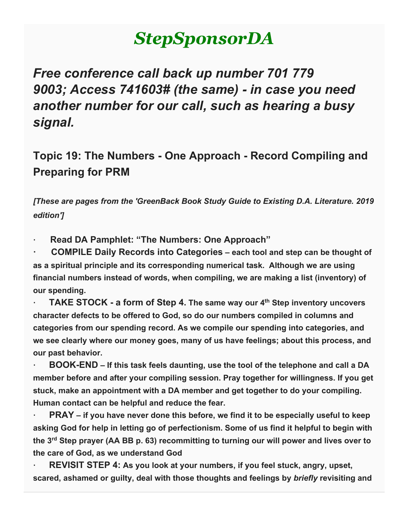# *StepSponsorDA*

*Free conference call back up number 701 779 9003; Access 741603# (the same) - in case you need another number for our call, such as hearing a busy signal.*

# **Topic 19: The Numbers - One Approach - Record Compiling and Preparing for PRM**

*[These are pages from the 'GreenBack Book Study Guide to Existing D.A. Literature. 2019 edition']*

**· Read DA Pamphlet: "The Numbers: One Approach"**

**· COMPILE Daily Records into Categories – each tool and step can be thought of as a spiritual principle and its corresponding numerical task. Although we are using financial numbers instead of words, when compiling, we are making a list (inventory) of our spending.**

**· TAKE STOCK - a form of Step 4. The same way our 4th Step inventory uncovers character defects to be offered to God, so do our numbers compiled in columns and categories from our spending record. As we compile our spending into categories, and we see clearly where our money goes, many of us have feelings; about this process, and our past behavior.**

**· BOOK-END – If this task feels daunting, use the tool of the telephone and call a DA member before and after your compiling session. Pray together for willingness. If you get stuck, make an appointment with a DA member and get together to do your compiling. Human contact can be helpful and reduce the fear.**

**· PRAY – if you have never done this before, we find it to be especially useful to keep asking God for help in letting go of perfectionism. Some of us find it helpful to begin with the 3rd Step prayer (AA BB p. 63) recommitting to turning our will power and lives over to the care of God, as we understand God**

**· REVISIT STEP 4: As you look at your numbers, if you feel stuck, angry, upset, scared, ashamed or guilty, deal with those thoughts and feelings by** *briefly* **revisiting and**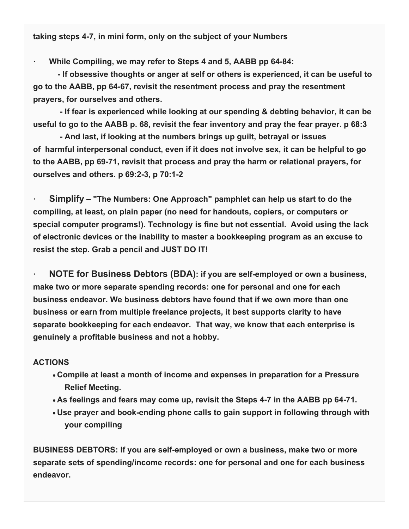**taking steps 4-7, in mini form, only on the subject of your Numbers**

**· While Compiling, we may refer to Steps 4 and 5, AABB pp 64-84:**

 **- If obsessive thoughts or anger at self or others is experienced, it can be useful to go to the AABB, pp 64-67, revisit the resentment process and pray the resentment prayers, for ourselves and others.**

 **- If fear is experienced while looking at our spending & debting behavior, it can be useful to go to the AABB p. 68, revisit the fear inventory and pray the fear prayer. p 68:3**

 **- And last, if looking at the numbers brings up guilt, betrayal or issues of harmful interpersonal conduct, even if it does not involve sex, it can be helpful to go to the AABB, pp 69-71, revisit that process and pray the harm or relational prayers, for ourselves and others. p 69:2-3, p 70:1-2**

**· Simplify – "The Numbers: One Approach" pamphlet can help us start to do the compiling, at least, on plain paper (no need for handouts, copiers, or computers or special computer programs!). Technology is fine but not essential. Avoid using the lack of electronic devices or the inability to master a bookkeeping program as an excuse to resist the step. Grab a pencil and JUST DO IT!**

**· NOTE for Business Debtors (BDA): if you are self-employed or own a business, make two or more separate spending records: one for personal and one for each business endeavor. We business debtors have found that if we own more than one business or earn from multiple freelance projects, it best supports clarity to have separate bookkeeping for each endeavor. That way, we know that each enterprise is genuinely a profitable business and not a hobby.**

#### **ACTIONS**

- **Compile at least a month of income and expenses in preparation for a Pressure Relief Meeting.**
- **As feelings and fears may come up, revisit the Steps 4-7 in the AABB pp 64-71.**
- **Use prayer and book-ending phone calls to gain support in following through with your compiling**

**BUSINESS DEBTORS: If you are self-employed or own a business, make two or more separate sets of spending/income records: one for personal and one for each business endeavor.**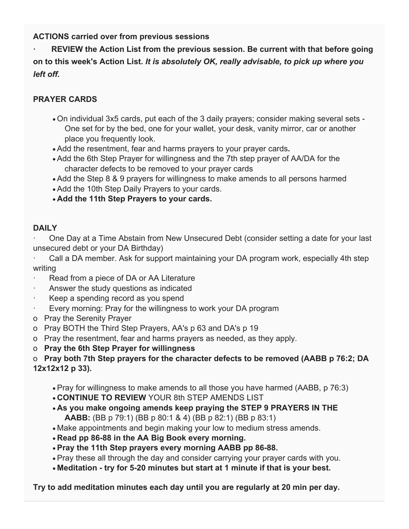**ACTIONS carried over from previous sessions**

**· REVIEW the Action List from the previous session. Be current with that before going on to this week's Action List.** *It is absolutely OK, really advisable, to pick up where you left off.*

## **PRAYER CARDS**

- On individual 3x5 cards, put each of the 3 daily prayers; consider making several sets One set for by the bed, one for your wallet, your desk, vanity mirror, car or another place you frequently look.
- Add the resentment, fear and harms prayers to your prayer cards**.**
- Add the 6th Step Prayer for willingness and the 7th step prayer of AA/DA for the character defects to be removed to your prayer cards
- Add the Step 8 & 9 prayers for willingness to make amends to all persons harmed
- Add the 10th Step Daily Prayers to your cards.
- **Add the 11th Step Prayers to your cards.**

### **DAILY**

· One Day at a Time Abstain from New Unsecured Debt (consider setting a date for your last unsecured debt or your DA Birthday)

Call a DA member. Ask for support maintaining your DA program work, especially 4th step writing

- Read from a piece of DA or AA Literature
- Answer the study questions as indicated
- Keep a spending record as you spend
- · Every morning: Pray for the willingness to work your DA program
- o Pray the Serenity Prayer
- o Pray BOTH the Third Step Prayers, AA's p 63 and DA's p 19
- o Pray the resentment, fear and harms prayers as needed, as they apply.
- o **Pray the 6th Step Prayer for willingness**

#### o **Pray both 7th Step prayers for the character defects to be removed (AABB p 76:2; DA 12x12x12 p 33).**

- Pray for willingness to make amends to all those you have harmed (AABB, p 76:3)
- **CONTINUE TO REVIEW** YOUR 8th STEP AMENDS LIST
- **As you make ongoing amends keep praying the STEP 9 PRAYERS IN THE AABB:** (BB p 79:1) (BB p 80:1 & 4) (BB p 82:1) (BB p 83:1)
- Make appointments and begin making your low to medium stress amends.
- **Read pp 86-88 in the AA Big Book every morning.**
- **Pray the 11th Step prayers every morning AABB pp 86-88.**
- Pray these all through the day and consider carrying your prayer cards with you.
- **Meditation - try for 5-20 minutes but start at 1 minute if that is your best.**

**Try to add meditation minutes each day until you are regularly at 20 min per day.**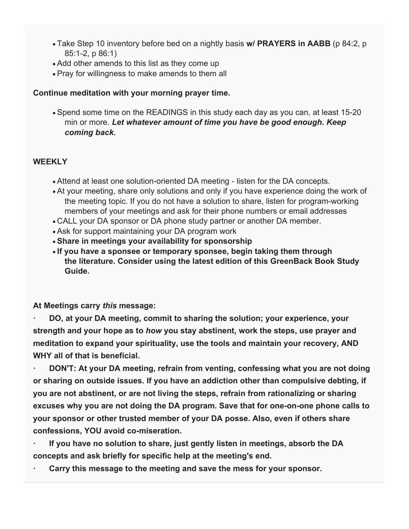- Take Step 10 inventory before bed on a nightly basis **w/ PRAYERS in AABB** (p 84:2, p 85:1-2, p 86:1)
- Add other amends to this list as they come up
- Pray for willingness to make amends to them all

#### **Continue meditation with your morning prayer time.**

• Spend some time on the READINGS in this study each day as you can, at least 15-20 min or more. *Let whatever amount of time you have be good enough. Keep coming back.*

#### **WEEKLY**

- Attend at least one solution-oriented DA meeting listen for the DA concepts.
- At your meeting, share only solutions and only if you have experience doing the work of the meeting topic. If you do not have a solution to share, listen for program-working members of your meetings and ask for their phone numbers or email addresses
- CALL your DA sponsor or DA phone study partner or another DA member.
- Ask for support maintaining your DA program work
- **Share in meetings your availability for sponsorship**
- **If you have a sponsee or temporary sponsee, begin taking them through the literature. Consider using the latest edition of this GreenBack Book Study Guide.**

**At Meetings carry** *this* **message:**

**· DO, at your DA meeting, commit to sharing the solution; your experience, your strength and your hope as to** *how* **you stay abstinent, work the steps, use prayer and meditation to expand your spirituality, use the tools and maintain your recovery, AND WHY all of that is beneficial.**

**· DON'T: At your DA meeting, refrain from venting, confessing what you are not doing or sharing on outside issues. If you have an addiction other than compulsive debting, if you are not abstinent, or are not living the steps, refrain from rationalizing or sharing excuses why you are not doing the DA program. Save that for one-on-one phone calls to your sponsor or other trusted member of your DA posse. Also, even if others share confessions, YOU avoid co-miseration.**

**· If you have no solution to share, just gently listen in meetings, absorb the DA concepts and ask briefly for specific help at the meeting's end.**

**· Carry this message to the meeting and save the mess for your sponsor.**